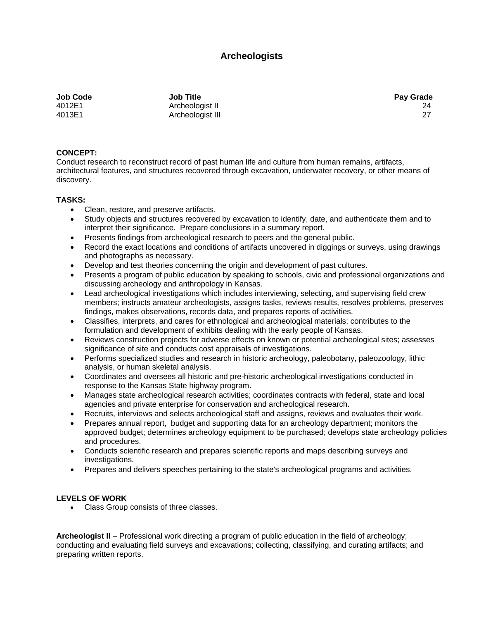## **Archeologists**

**Job Code Job Title Pay Grade** 

4012E1 Archeologist II 24 4013E1 Archeologist III 27

## **CONCEPT:**

Conduct research to reconstruct record of past human life and culture from human remains, artifacts, architectural features, and structures recovered through excavation, underwater recovery, or other means of discovery.

## **TASKS:**

- Clean, restore, and preserve artifacts.
- Study objects and structures recovered by excavation to identify, date, and authenticate them and to interpret their significance. Prepare conclusions in a summary report.
- Presents findings from archeological research to peers and the general public.
- Record the exact locations and conditions of artifacts uncovered in diggings or surveys, using drawings and photographs as necessary.
- Develop and test theories concerning the origin and development of past cultures.
- Presents a program of public education by speaking to schools, civic and professional organizations and discussing archeology and anthropology in Kansas.
- Lead archeological investigations which includes interviewing, selecting, and supervising field crew members; instructs amateur archeologists, assigns tasks, reviews results, resolves problems, preserves findings, makes observations, records data, and prepares reports of activities.
- Classifies, interprets, and cares for ethnological and archeological materials; contributes to the formulation and development of exhibits dealing with the early people of Kansas.
- Reviews construction projects for adverse effects on known or potential archeological sites; assesses significance of site and conducts cost appraisals of investigations.
- Performs specialized studies and research in historic archeology, paleobotany, paleozoology, lithic analysis, or human skeletal analysis.
- Coordinates and oversees all historic and pre-historic archeological investigations conducted in response to the Kansas State highway program.
- Manages state archeological research activities; coordinates contracts with federal, state and local agencies and private enterprise for conservation and archeological research.
- Recruits, interviews and selects archeological staff and assigns, reviews and evaluates their work.
- Prepares annual report, budget and supporting data for an archeology department; monitors the approved budget; determines archeology equipment to be purchased; develops state archeology policies and procedures.
- Conducts scientific research and prepares scientific reports and maps describing surveys and investigations.
- Prepares and delivers speeches pertaining to the state's archeological programs and activities.

## **LEVELS OF WORK**

• Class Group consists of three classes.

**Archeologist II** – Professional work directing a program of public education in the field of archeology; conducting and evaluating field surveys and excavations; collecting, classifying, and curating artifacts; and preparing written reports.